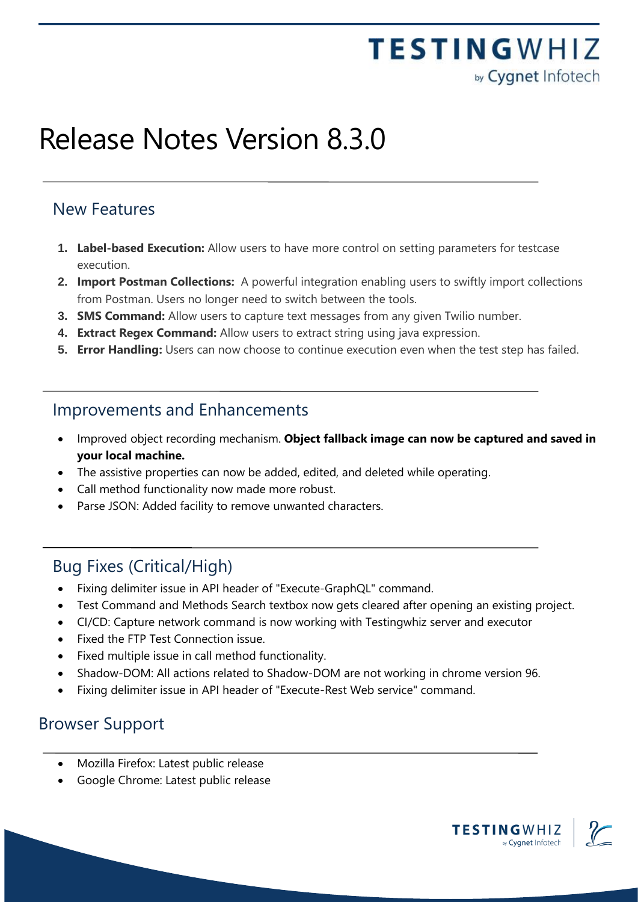## **TESTINGWHIZ** by Cygnet Infotech

# Release Notes Version 8.3.0

#### New Features

- **1. Label-based Execution:** Allow users to have more control on setting parameters for testcase execution.
- **2. Import Postman Collections:** A powerful integration enabling users to swiftly import collections from Postman. Users no longer need to switch between the tools.
- **3. SMS Command:** Allow users to capture text messages from any given Twilio number.
- **4. Extract Regex Command:** Allow users to extract string using java expression.
- **5. Error Handling:** Users can now choose to continue execution even when the test step has failed.

#### Improvements and Enhancements

- Improved object recording mechanism. **Object fallback image can now be captured and saved in your local machine.**
- The assistive properties can now be added, edited, and deleted while operating.
- Call method functionality now made more robust.
- Parse JSON: Added facility to remove unwanted characters.

#### Bug Fixes (Critical/High)

- Fixing delimiter issue in API header of "Execute-GraphQL" command.
- Test Command and Methods Search textbox now gets cleared after opening an existing project.
- CI/CD: Capture network command is now working with Testingwhiz server and executor
- Fixed the FTP Test Connection issue.
- Fixed multiple issue in call method functionality.
- Shadow-DOM: All actions related to Shadow-DOM are not working in chrome version 96.
- Fixing delimiter issue in API header of "Execute-Rest Web service" command.

#### Browser Support

- Mozilla Firefox: Latest public release
- Google Chrome: Latest public release